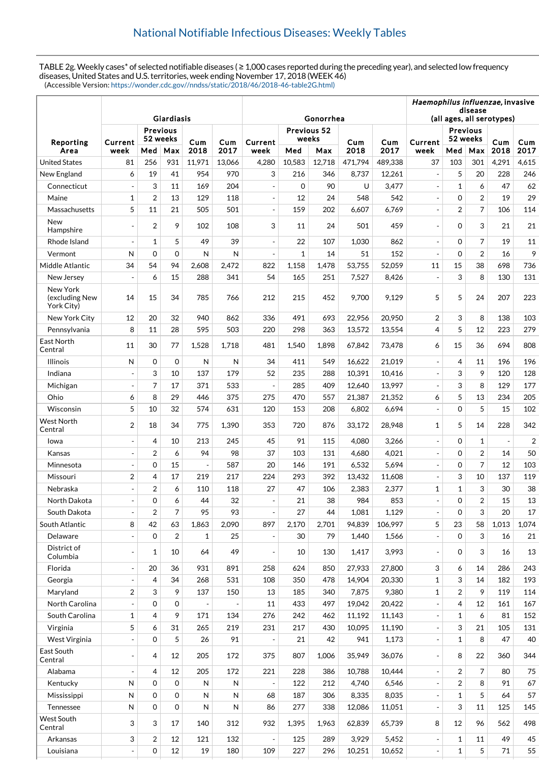TABLE 2g. Weekly cases\* of selected notifiable diseases ( ≥ 1,000 cases reported during the preceding year), and selected low frequency diseases, United States and U.S. territories, week ending November 17, 2018 (WEEK 46) (Accessible Version: [https://wonder.cdc.gov//nndss/static/2018/46/2018-46-table2G.html\)](https://wonder.cdc.gov//nndss/static/2018/46/2018-46-table2G.html)

|                                          |                               |                |                |        |        |                          |                                      |           |         |         | Haemophilus influenzae, invasive |                |                         |                     |                |  |
|------------------------------------------|-------------------------------|----------------|----------------|--------|--------|--------------------------|--------------------------------------|-----------|---------|---------|----------------------------------|----------------|-------------------------|---------------------|----------------|--|
|                                          |                               |                |                |        |        |                          | disease<br>(all ages, all serotypes) |           |         |         |                                  |                |                         |                     |                |  |
|                                          | Giardiasis<br><b>Previous</b> |                |                |        |        |                          |                                      | Gonorrhea |         |         | <b>Previous</b>                  |                |                         |                     |                |  |
| Reporting                                | Current                       | 52 weeks       |                | Cum    | Cum    | Current                  | Previous 52<br>weeks                 |           | Cum     | Cum     | Current                          | 52 weeks       |                         | Cum                 | Cum            |  |
| Area                                     | week                          | Med            | Max            | 2018   | 2017   | week                     | Med                                  | Max       | 2018    | 2017    | week                             | Med            | Max                     | 2018                | 2017           |  |
| <b>United States</b>                     | 81                            | 256            | 931            | 11,971 | 13,066 | 4,280                    | 10,583                               | 12,718    | 471,794 | 489,338 | 37                               | 103            | 301                     | 4,291               | 4,615          |  |
| New England                              | 6                             | 19             | 41             | 954    | 970    | 3                        | 216                                  | 346       | 8,737   | 12,261  | $\overline{\phantom{a}}$         | 5              | 20                      | 228                 | 246            |  |
| Connecticut                              |                               | 3              | 11             | 169    | 204    |                          | $\Omega$                             | 90        | U       | 3,477   |                                  | 1              | 6                       | 47                  | 62             |  |
| Maine                                    | $\mathbf{1}$                  | $\overline{2}$ | 13             | 129    | 118    | ÷,                       | 12                                   | 24        | 548     | 542     | $\overline{a}$                   | $\Omega$       | $\overline{2}$          | 19                  | 29             |  |
| Massachusetts                            | 5                             | 11             | 21             | 505    | 501    | $\overline{a}$           | 159                                  | 202       | 6,607   | 6,769   |                                  | $\overline{2}$ | $\overline{7}$          | 106                 | 114            |  |
| <b>New</b><br>Hampshire                  | $\overline{\phantom{a}}$      | $\overline{2}$ | 9              | 102    | 108    | 3                        | 11                                   | 24        | 501     | 459     |                                  | $\mathbf 0$    | 3                       | 21                  | 21             |  |
| Rhode Island                             | ÷,                            | $\mathbf 1$    | 5              | 49     | 39     | ÷,                       | 22                                   | 107       | 1,030   | 862     | $\overline{a}$                   | $\Omega$       | $\overline{7}$          | 19                  | 11             |  |
| Vermont                                  | N                             | $\Omega$       | $\Omega$       | N      | N      |                          | $\mathbf{1}$                         | 14        | 51      | 152     |                                  | $\Omega$       | $\overline{2}$          | 16                  | 9              |  |
| Middle Atlantic                          | 34                            | 54             | 94             | 2,608  | 2,472  | 822                      | 1,158                                | 1,478     | 53,755  | 52,059  | 11                               | 15             | 38                      | 698                 | 736            |  |
| New Jersey                               | $\overline{\phantom{a}}$      | 6              | 15             | 288    | 341    | 54                       | 165                                  | 251       | 7,527   | 8,426   |                                  | 3              | 8                       | 130                 | 131            |  |
| New York<br>(excluding New<br>York City) | 14                            | 15             | 34             | 785    | 766    | 212                      | 215                                  | 452       | 9,700   | 9,129   | 5                                | 5              | 24                      | 207                 | 223            |  |
| New York City                            | 12                            | 20             | 32             | 940    | 862    | 336                      | 491                                  | 693       | 22,956  | 20,950  | $\overline{2}$                   | 3              | 8                       | 138                 | 103            |  |
| Pennsylvania                             | 8                             | 11             | 28             | 595    | 503    | 220                      | 298                                  | 363       | 13,572  | 13,554  | 4                                | 5              | 12                      | 223                 | 279            |  |
| East North<br>Central                    | 11                            | 30             | 77             | 1,528  | 1,718  | 481                      | 1,540                                | 1,898     | 67,842  | 73,478  | 6                                | 15             | 36                      | 694                 | 808            |  |
| <b>Illinois</b>                          | N                             | $\mathbf 0$    | $\mathbf 0$    | N      | N      | 34                       | 411                                  | 549       | 16,622  | 21,019  | ÷,                               | $\overline{4}$ | 11                      | 196                 | 196            |  |
| Indiana                                  |                               | 3              | 10             | 137    | 179    | 52                       | 235                                  | 288       | 10,391  | 10,416  |                                  | 3              | 9                       | 120                 | 128            |  |
| Michigan                                 | ÷,                            | 7              | 17             | 371    | 533    | $\overline{\phantom{a}}$ | 285                                  | 409       | 12,640  | 13,997  | $\overline{\phantom{a}}$         | 3              | 8                       | 129                 | 177            |  |
| Ohio                                     | 6                             | 8              | 29             | 446    | 375    | 275                      | 470                                  | 557       | 21,387  | 21,352  | 6                                | 5              | 13                      | 234                 | 205            |  |
| Wisconsin                                | 5                             | 10             | 32             | 574    | 631    | 120                      | 153                                  | 208       | 6,802   | 6,694   |                                  | $\Omega$       | 5                       | 15                  | 102            |  |
| West North<br>Central                    | $\overline{2}$                | 18             | 34             | 775    | 1,390  | 353                      | 720                                  | 876       | 33,172  | 28,948  | $\mathbf{1}$                     | 5              | 14                      | 228                 | 342            |  |
| lowa                                     | $\omega$                      | 4              | 10             | 213    | 245    | 45                       | 91                                   | 115       | 4,080   | 3,266   | $\overline{a}$                   | $\Omega$       | $\mathbf{1}$            | $\bar{\phantom{a}}$ | $\overline{2}$ |  |
| Kansas                                   | $\overline{\phantom{a}}$      | $\overline{2}$ | 6              | 94     | 98     | 37                       | 103                                  | 131       | 4,680   | 4,021   | ÷,                               | $\Omega$       | $\overline{2}$          | 14                  | 50             |  |
| Minnesota                                | $\overline{\phantom{a}}$      | $\overline{0}$ | 15             | ÷,     | 587    | 20                       | 146                                  | 191       | 6,532   | 5,694   |                                  | $\mathbf 0$    | $\overline{7}$          | 12                  | 103            |  |
| Missouri                                 | $\overline{2}$                | 4              | 17             | 219    | 217    | 224                      | 293                                  | 392       | 13,432  | 11,608  |                                  | 3              | 10                      | 137                 | 119            |  |
| Nebraska                                 | $\blacksquare$                | $\overline{2}$ | 6              | 110    | 118    | 27                       | 47                                   | 106       | 2,383   | 2,377   | $\mathbf{1}$                     | $\mathbf{1}$   | 3                       | 30                  | 38             |  |
| North Dakota                             | $\overline{\phantom{a}}$      | 0              | 6              | 44     | 32     |                          | 21                                   | 38        | 984     | 853     |                                  | $\Omega$       | $\overline{\mathbf{c}}$ | 15                  | 13             |  |
| South Dakota                             |                               | $\overline{2}$ | 7              | 95     | 93     |                          | 27                                   | 44        | 1,081   | 1,129   |                                  | $\mathbf 0$    | 3                       | 20                  | 17             |  |
| South Atlantic                           | 8                             | 42             | 63             | 1,863  | 2,090  | 897                      | 2,170                                | 2,701     | 94,839  | 106,997 | 5                                | 23             | 58                      | 1.013               | 1,074          |  |
| Delaware                                 |                               | $\mathbf 0$    | $\overline{2}$ | 1      | 25     | ÷,                       | 30                                   | 79        | 1,440   | 1,566   |                                  | $\mathbf 0$    | 3                       | 16                  | 21             |  |
| District of<br>Columbia                  | $\overline{\phantom{a}}$      | 1              | 10             | 64     | 49     | $\blacksquare$           | 10                                   | 130       | 1,417   | 3,993   |                                  | 0              | 3                       | 16                  | 13             |  |
| Florida                                  | $\blacksquare$                | 20             | 36             | 931    | 891    | 258                      | 624                                  | 850       | 27,933  | 27,800  | 3                                | 6              | 14                      | 286                 | 243            |  |
| Georgia                                  |                               | $\overline{4}$ | 34             | 268    | 531    | 108                      | 350                                  | 478       | 14,904  | 20,330  | $\mathbf 1$                      | 3              | 14                      | 182                 | 193            |  |
| Maryland                                 | $\overline{2}$                | 3              | 9              | 137    | 150    | 13                       | 185                                  | 340       | 7,875   | 9,380   | $\mathbf 1$                      | $\overline{2}$ | 9                       | 119                 | 114            |  |
| North Carolina                           | $\blacksquare$                | 0              | $\mathbf 0$    | Ĭ.     |        | 11                       | 433                                  | 497       | 19,042  | 20,422  |                                  | $\overline{4}$ | 12                      | 161                 | 167            |  |
| South Carolina                           | $\mathbf{1}$                  | $\overline{4}$ | 9              | 171    | 134    | 276                      | 242                                  | 462       | 11,192  | 11,143  |                                  | 1              | 6                       | 81                  | 152            |  |
| Virginia                                 | 5                             | 6              | 31             | 265    | 219    | 231                      | 217                                  | 430       | 10,095  | 11,190  |                                  | 3              | 21                      | 105                 | 131            |  |
| West Virginia                            | $\overline{a}$                | 0              | 5              | 26     | 91     |                          | 21                                   | 42        | 941     | 1,173   |                                  | $\mathbf{1}$   | 8                       | 47                  | 40             |  |
| East South<br>Central                    | $\blacksquare$                | 4              | 12             | 205    | 172    | 375                      | 807                                  | 1,006     | 35,949  | 36,076  |                                  | 8              | 22                      | 360                 | 344            |  |
| Alabama                                  | $\overline{\phantom{a}}$      | 4              | 12             | 205    | 172    | 221                      | 228                                  | 386       | 10,788  | 10,444  |                                  | $\overline{2}$ | $\overline{7}$          | 80                  | 75             |  |
| Kentucky                                 | N                             | $\Omega$       | $\mathbf 0$    | Ν      | N      |                          | 122                                  | 212       | 4,740   | 6,546   |                                  | $\overline{2}$ | 8                       | 91                  | 67             |  |
| Mississippi                              | ${\sf N}$                     | 0              | $\mathbf 0$    | N      | Ν      | 68                       | 187                                  | 306       | 8,335   | 8,035   | $\overline{\phantom{a}}$         | $\mathbf 1$    | 5                       | 64                  | 57             |  |
| Tennessee                                | N                             | 0              | $\mathbf 0$    | Ν      | N      | 86                       | 277                                  | 338       | 12,086  | 11,051  |                                  | 3              | 11                      | 125                 | 145            |  |
| West South<br>Central                    | 3                             | 3              | 17             | 140    | 312    | 932                      | 1,395                                | 1,963     | 62,839  | 65,739  | 8                                | 12             | 96                      | 562                 | 498            |  |
| Arkansas                                 | 3                             | 2              | 12             | 121    | 132    | $\blacksquare$           | 125                                  | 289       | 3,929   | 5,452   | $\overline{\phantom{a}}$         | 1              | 11                      | 49                  | 45             |  |
| Louisiana                                | $\blacksquare$                | 0              | 12             | 19     | 180    | 109                      | 227                                  | 296       | 10,251  | 10,652  | ÷,                               | $\mathbf 1$    | 5                       | 71                  | 55             |  |